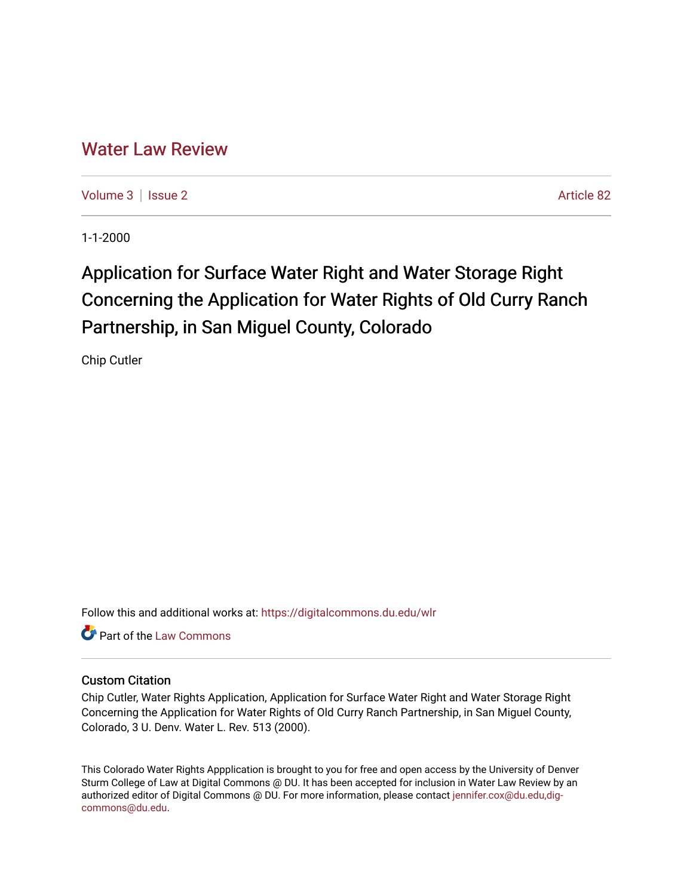# [Water Law Review](https://digitalcommons.du.edu/wlr)

[Volume 3](https://digitalcommons.du.edu/wlr/vol3) | [Issue 2](https://digitalcommons.du.edu/wlr/vol3/iss2) Article 82

1-1-2000

# Application for Surface Water Right and Water Storage Right Concerning the Application for Water Rights of Old Curry Ranch Partnership, in San Miguel County, Colorado

Chip Cutler

Follow this and additional works at: [https://digitalcommons.du.edu/wlr](https://digitalcommons.du.edu/wlr?utm_source=digitalcommons.du.edu%2Fwlr%2Fvol3%2Fiss2%2F82&utm_medium=PDF&utm_campaign=PDFCoverPages) 

Part of the [Law Commons](http://network.bepress.com/hgg/discipline/578?utm_source=digitalcommons.du.edu%2Fwlr%2Fvol3%2Fiss2%2F82&utm_medium=PDF&utm_campaign=PDFCoverPages)

## Custom Citation

Chip Cutler, Water Rights Application, Application for Surface Water Right and Water Storage Right Concerning the Application for Water Rights of Old Curry Ranch Partnership, in San Miguel County, Colorado, 3 U. Denv. Water L. Rev. 513 (2000).

This Colorado Water Rights Appplication is brought to you for free and open access by the University of Denver Sturm College of Law at Digital Commons @ DU. It has been accepted for inclusion in Water Law Review by an authorized editor of Digital Commons @ DU. For more information, please contact [jennifer.cox@du.edu,dig](mailto:jennifer.cox@du.edu,dig-commons@du.edu)[commons@du.edu.](mailto:jennifer.cox@du.edu,dig-commons@du.edu)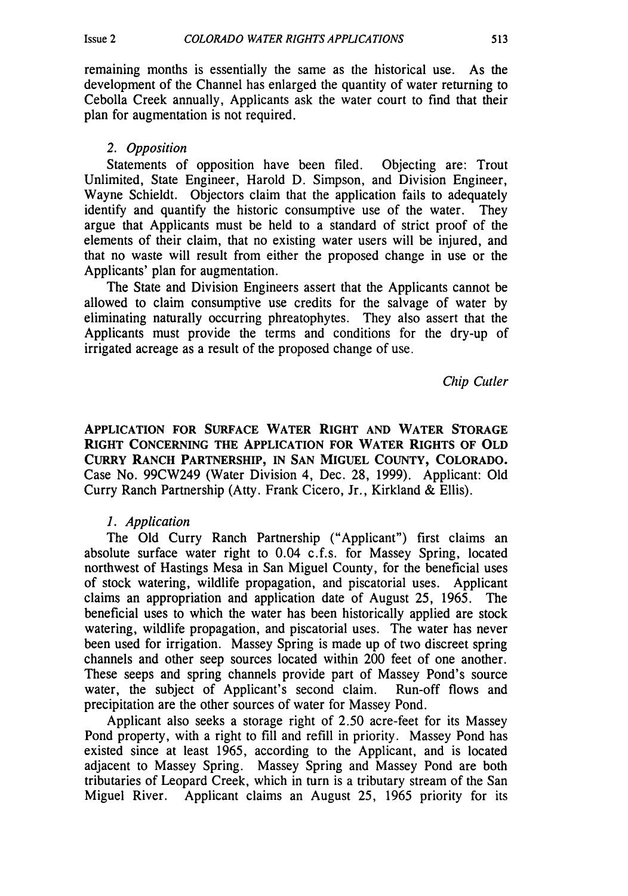remaining months is essentially the same as the historical use. As the development of the Channel has enlarged the quantity of water returning to Cebolla Creek annually, Applicants ask the water court to find that their plan for augmentation is not required.

#### *2. Opposition*

Statements of opposition have been filed. Objecting are: Trout Unlimited, State Engineer, Harold D. Simpson, and Division Engineer, Wayne Schieldt. Objectors claim that the application fails to adequately identify and quantify the historic consumptive use of the water. They argue that Applicants must be held to a standard of strict proof of the elements of their claim, that no existing water users will be injured, and that no waste will result from either the proposed change in use or the Applicants' plan for augmentation.

The State and Division Engineers assert that the Applicants cannot be allowed to claim consumptive use credits for the salvage of water by eliminating naturally occurring phreatophytes. They also assert that the Applicants must provide the terms and conditions for the dry-up of irrigated acreage as a result of the proposed change of use.

*Chip Cutler*

**APPLICATION FOR SURFACE WATER RIGHT AND WATER STORAGE RIGHT CONCERNING THE APPLICATION FOR WATER RIGHTS OF OLD CURRY RANCH PARTNERSHIP, IN SAN MIGUEL COUNTY, COLORADO.** Case No. 99CW249 (Water Division 4, Dec. **28, 1999).** Applicant: Old Curry Ranch Partnership (Atty. Frank Cicero, Jr., Kirkland **&** Ellis).

#### *1. Application*

The Old Curry Ranch Partnership ("Applicant") first claims an absolute surface water right to 0.04 c.f.s. for Massey Spring, located northwest of Hastings Mesa in San Miguel County, for the beneficial uses of stock watering, wildlife propagation, and piscatorial uses. Applicant claims an appropriation and application date of August 25, 1965. The beneficial uses to which the water has been historically applied are stock watering, wildlife propagation, and piscatorial uses. The water has never been used for irrigation. Massey Spring is made up of two discreet spring channels and other seep sources located within 200 feet of one another. These seeps and spring channels provide part of Massey Pond's source water, the subject of Applicant's second claim. Run-off flows and precipitation are the other sources of water for Massey Pond.

Applicant also seeks a storage right of 2.50 acre-feet for its Massey Pond property, with a right to fill and refill in priority. Massey Pond has existed since at least 1965, according to the Applicant, and is located adjacent to Massey Spring. Massey Spring and Massey Pond are both tributaries of Leopard Creek, which in turn is a tributary stream of the San Miguel River. Applicant claims an August 25, 1965 priority for its